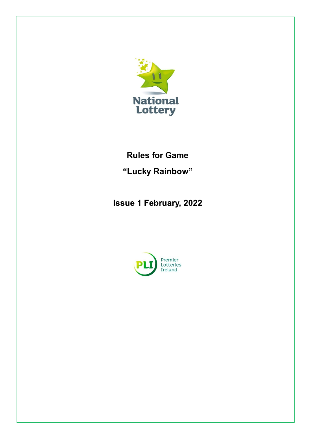

# **Rules for Game "Lucky Rainbow"**

**Issue 1 February, 2022**

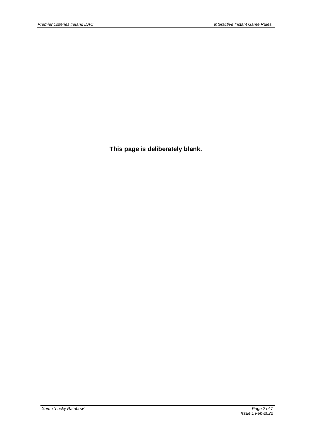**This page is deliberately blank.**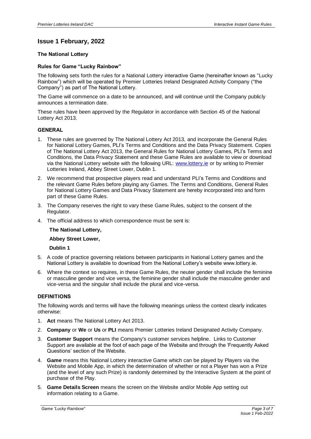# **Issue 1 February, 2022**

## **The National Lottery**

## **Rules for Game "Lucky Rainbow"**

The following sets forth the rules for a National Lottery interactive Game (hereinafter known as "Lucky Rainbow") which will be operated by Premier Lotteries Ireland Designated Activity Company ("the Company") as part of The National Lottery.

The Game will commence on a date to be announced, and will continue until the Company publicly announces a termination date.

These rules have been approved by the Regulator in accordance with Section 45 of the National Lottery Act 2013.

## **GENERAL**

- 1. These rules are governed by The National Lottery Act 2013, and incorporate the General Rules for National Lottery Games, PLI's Terms and Conditions and the Data Privacy Statement. Copies of The National Lottery Act 2013, the General Rules for National Lottery Games, PLI's Terms and Conditions, the Data Privacy Statement and these Game Rules are available to view or download via the National Lottery website with the following URL: [www.lottery.ie](http://www.lotto.ie/) or by writing to Premier Lotteries Ireland, Abbey Street Lower, Dublin 1.
- 2. We recommend that prospective players read and understand PLI's Terms and Conditions and the relevant Game Rules before playing any Games. The Terms and Conditions, General Rules for National Lottery Games and Data Privacy Statement are hereby incorporated into and form part of these Game Rules.
- 3. The Company reserves the right to vary these Game Rules, subject to the consent of the Regulator.
- 4. The official address to which correspondence must be sent is:

## **The National Lottery,**

## **Abbey Street Lower,**

**Dublin 1**

- 5. A code of practice governing relations between participants in National Lottery games and the National Lottery is available to download from the National Lottery's website www.lottery.ie.
- 6. Where the context so requires, in these Game Rules, the neuter gender shall include the feminine or masculine gender and vice versa, the feminine gender shall include the masculine gender and vice-versa and the singular shall include the plural and vice-versa.

## **DEFINITIONS**

The following words and terms will have the following meanings unless the context clearly indicates otherwise:

- 1. **Act** means The National Lottery Act 2013.
- 2. **Company** or **We** or **Us** or **PLI** means Premier Lotteries Ireland Designated Activity Company.
- 3. **Customer Support** means the Company's customer services helpline. Links to Customer Support are available at the foot of each page of the Website and through the 'Frequently Asked Questions' section of the Website.
- 4. **Game** means this National Lottery interactive Game which can be played by Players via the Website and Mobile App, in which the determination of whether or not a Player has won a Prize (and the level of any such Prize) is randomly determined by the Interactive System at the point of purchase of the Play.
- 5. **Game Details Screen** means the screen on the Website and/or Mobile App setting out information relating to a Game.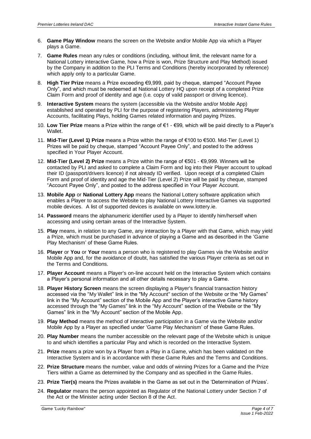- 6. **Game Play Window** means the screen on the Website and/or Mobile App via which a Player plays a Game.
- 7. **Game Rules** mean any rules or conditions (including, without limit, the relevant name for a National Lottery interactive Game, how a Prize is won, Prize Structure and Play Method) issued by the Company in addition to the PLI Terms and Conditions (hereby incorporated by reference) which apply only to a particular Game.
- 8. **High Tier Prize** means a Prize exceeding €9,999, paid by cheque, stamped "Account Payee Only", and which must be redeemed at National Lottery HQ upon receipt of a completed Prize Claim Form and proof of identity and age (i.e. copy of valid passport or driving licence).
- 9. **Interactive System** means the system (accessible via the Website and/or Mobile App) established and operated by PLI for the purpose of registering Players, administering Player Accounts, facilitating Plays, holding Games related information and paying Prizes.
- 10. **Low Tier Prize** means a Prize within the range of €1 €99, which will be paid directly to a Player's Wallet.
- 11. **Mid-Tier (Level 1) Prize** means a Prize within the range of €100 to €500. Mid-Tier (Level 1) Prizes will be paid by cheque, stamped "Account Payee Only", and posted to the address specified in Your Player Account.
- 12. **Mid-Tier (Level 2) Prize** means a Prize within the range of €501 €9,999. Winners will be contacted by PLI and asked to complete a Claim Form and log into their Player account to upload their ID (passport/drivers licence) if not already ID verified. Upon receipt of a completed Claim Form and proof of identity and age the Mid-Tier (Level 2) Prize will be paid by cheque, stamped "Account Payee Only", and posted to the address specified in Your Player Account.
- 13. **Mobile App** or **National Lottery App** means the National Lottery software application which enables a Player to access the Website to play National Lottery Interactive Games via supported mobile devices. A list of supported devices is available on www.lottery.ie.
- 14. **Password** means the alphanumeric identifier used by a Player to identify him/herself when accessing and using certain areas of the Interactive System.
- 15. **Play** means, in relation to any Game, any interaction by a Player with that Game, which may yield a Prize, which must be purchased in advance of playing a Game and as described in the 'Game Play Mechanism' of these Game Rules.
- 16. **Player** or **You** or **Your** means a person who is registered to play Games via the Website and/or Mobile App and, for the avoidance of doubt, has satisfied the various Player criteria as set out in the Terms and Conditions.
- 17. **Player Account** means a Player's on-line account held on the Interactive System which contains a Player's personal information and all other details necessary to play a Game.
- 18. **Player History Screen** means the screen displaying a Player's financial transaction history accessed via the "My Wallet" link in the "My Account" section of the Website or the "My Games" link in the "My Account" section of the Mobile App and the Player's interactive Game history accessed through the "My Games" link in the "My Account" section of the Website or the "My Games" link in the "My Account" section of the Mobile App.
- 19. **Play Method** means the method of interactive participation in a Game via the Website and/or Mobile App by a Player as specified under 'Game Play Mechanism' of these Game Rules.
- 20. **Play Number** means the number accessible on the relevant page of the Website which is unique to and which identifies a particular Play and which is recorded on the Interactive System.
- 21. **Prize** means a prize won by a Player from a Play in a Game, which has been validated on the Interactive System and is in accordance with these Game Rules and the Terms and Conditions.
- 22. **Prize Structure** means the number, value and odds of winning Prizes for a Game and the Prize Tiers within a Game as determined by the Company and as specified in the Game Rules.
- 23. **Prize Tier(s)** means the Prizes available in the Game as set out in the 'Determination of Prizes'.
- 24. **Regulator** means the person appointed as Regulator of the National Lottery under Section 7 of the Act or the Minister acting under Section 8 of the Act.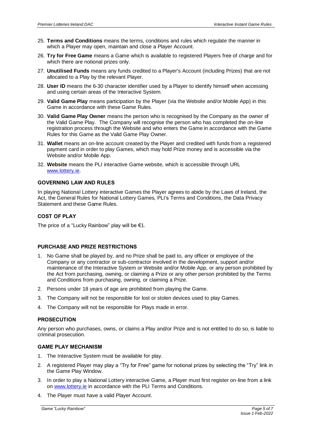- 25. **Terms and Conditions** means the terms, conditions and rules which regulate the manner in which a Player may open, maintain and close a Player Account.
- 26. **Try for Free Game** means a Game which is available to registered Players free of charge and for which there are notional prizes only.
- 27. **Unutilised Funds** means any funds credited to a Player's Account (including Prizes) that are not allocated to a Play by the relevant Player.
- 28. **User ID** means the 6-30 character identifier used by a Player to identify himself when accessing and using certain areas of the Interactive System.
- 29. **Valid Game Play** means participation by the Player (via the Website and/or Mobile App) in this Game in accordance with these Game Rules.
- 30. **Valid Game Play Owner** means the person who is recognised by the Company as the owner of the Valid Game Play. The Company will recognise the person who has completed the on-line registration process through the Website and who enters the Game in accordance with the Game Rules for this Game as the Valid Game Play Owner.
- 31. **Wallet** means an on-line account created by the Player and credited with funds from a registered payment card in order to play Games, which may hold Prize money and is accessible via the Website and/or Mobile App.
- 32. **Website** means the PLI interactive Game website, which is accessible through URL www.lottery.ie.

# **GOVERNING LAW AND RULES**

In playing National Lottery interactive Games the Player agrees to abide by the Laws of Ireland, the Act, the General Rules for National Lottery Games, PLI's Terms and Conditions, the Data Privacy Statement and these Game Rules.

# **COST OF PLAY**

The price of a "Lucky Rainbow" play will be  $\epsilon$ 1.

## **PURCHASE AND PRIZE RESTRICTIONS**

- 1. No Game shall be played by, and no Prize shall be paid to, any officer or employee of the Company or any contractor or sub-contractor involved in the development, support and/or maintenance of the Interactive System or Website and/or Mobile App, or any person prohibited by the Act from purchasing, owning, or claiming a Prize or any other person prohibited by the Terms and Conditions from purchasing, owning, or claiming a Prize.
- 2. Persons under 18 years of age are prohibited from playing the Game.
- 3. The Company will not be responsible for lost or stolen devices used to play Games.
- 4. The Company will not be responsible for Plays made in error.

## **PROSECUTION**

Any person who purchases, owns, or claims a Play and/or Prize and is not entitled to do so, is liable to criminal prosecution.

## **GAME PLAY MECHANISM**

- 1. The Interactive System must be available for play.
- 2. A registered Player may play a "Try for Free" game for notional prizes by selecting the "Try" link in the Game Play Window.
- 3. In order to play a National Lottery interactive Game, a Player must first register on-line from a link on [www.lottery.ie](http://www.lotto.ie/) in accordance with the PLI Terms and Conditions.
- 4. The Player must have a valid Player Account.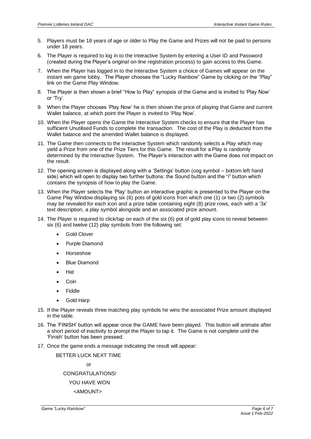- 5. Players must be 18 years of age or older to Play the Game and Prizes will not be paid to persons under 18 years.
- 6. The Player is required to log in to the Interactive System by entering a User ID and Password (created during the Player's original on-line registration process) to gain access to this Game.
- 7. When the Player has logged in to the Interactive System a choice of Games will appear on the instant win game lobby. The Player chooses the "Lucky Rainbow" Game by clicking on the "Play" link on the Game Play Window.
- 8. The Player is then shown a brief "How to Play" synopsis of the Game and is invited to 'Play Now' or 'Try'.
- 9. When the Player chooses 'Play Now' he is then shown the price of playing that Game and current Wallet balance, at which point the Player is invited to 'Play Now'.
- 10. When the Player opens the Game the Interactive System checks to ensure that the Player has sufficient Unutilised Funds to complete the transaction. The cost of the Play is deducted from the Wallet balance and the amended Wallet balance is displayed.
- 11. The Game then connects to the Interactive System which randomly selects a Play which may yield a Prize from one of the Prize Tiers for this Game. The result for a Play is randomly determined by the Interactive System. The Player's interaction with the Game does not impact on the result.
- 12. The opening screen is displayed along with a 'Settings' button (cog symbol bottom left hand side) which will open to display two further buttons: the Sound button and the "i" button which contains the synopsis of how to play the Game.
- 13. When the Player selects the 'Play' button an interactive graphic is presented to the Player on the Game Play Window displaying six (6) pots of gold icons from which one (1) or two (2) symbols may be revealed for each icon and a prize table containing eight (8) prize rows, each with a '3x' text description, a play symbol alongside and an associated prize amount.
- 14. The Player is required to click/tap on each of the six (6) pot of gold play icons to reveal between six (6) and twelve (12) play symbols from the following set:
	- Gold Clover
	- Purple Diamond
	- Horseshoe
	- **Blue Diamond**
	- Hat
	- Coin
	- Fiddle
	- Gold Harp
- 15. If the Player reveals three matching play symbols he wins the associated Prize amount displayed in the table.
- 16. The 'FINISH' button will appear once the GAME have been played. This button will animate after a short period of inactivity to prompt the Player to tap it. The Game is not complete until the 'Finish' button has been pressed.
- 17. Once the game ends a message indicating the result will appear:

BETTER LUCK NEXT TIME

**or** and the contract of the contract of the contract of the contract of the contract of the contract of the contract of the contract of the contract of the contract of the contract of the contract of the contract of the c CONGRATULATIONS! YOU HAVE WON <AMOUNT>

*Game "Lucky Rainbow" Page 6 of 7*